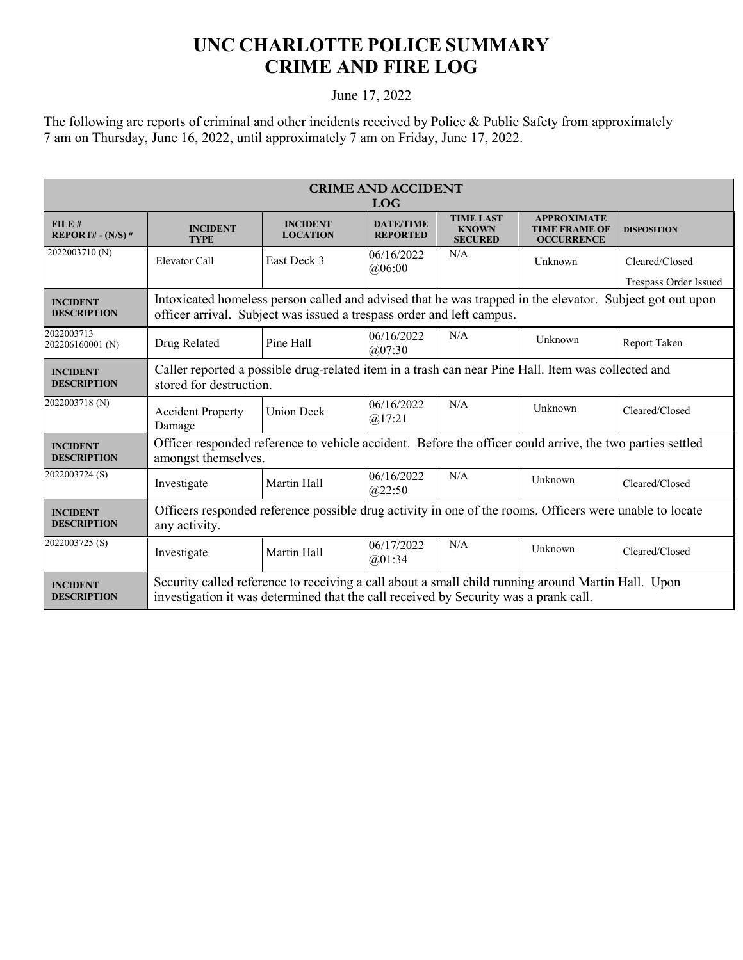## **UNC CHARLOTTE POLICE SUMMARY CRIME AND FIRE LOG**

## June 17, 2022

The following are reports of criminal and other incidents received by Police & Public Safety from approximately 7 am on Thursday, June 16, 2022, until approximately 7 am on Friday, June 17, 2022.

| <b>CRIME AND ACCIDENT</b><br><b>LOG</b> |                                                                                                                                                                                            |                                    |                                     |                                                    |                                                                 |                                         |  |  |
|-----------------------------------------|--------------------------------------------------------------------------------------------------------------------------------------------------------------------------------------------|------------------------------------|-------------------------------------|----------------------------------------------------|-----------------------------------------------------------------|-----------------------------------------|--|--|
| FILE#<br>REPORT# - $(N/S)$ *            | <b>INCIDENT</b><br><b>TYPE</b>                                                                                                                                                             | <b>INCIDENT</b><br><b>LOCATION</b> | <b>DATE/TIME</b><br><b>REPORTED</b> | <b>TIME LAST</b><br><b>KNOWN</b><br><b>SECURED</b> | <b>APPROXIMATE</b><br><b>TIME FRAME OF</b><br><b>OCCURRENCE</b> | <b>DISPOSITION</b>                      |  |  |
| 2022003710 (N)                          | Elevator Call                                                                                                                                                                              | East Deck 3                        | 06/16/2022<br>@06:00                | N/A                                                | Unknown                                                         | Cleared/Closed<br>Trespass Order Issued |  |  |
| <b>INCIDENT</b><br><b>DESCRIPTION</b>   | Intoxicated homeless person called and advised that he was trapped in the elevator. Subject got out upon<br>officer arrival. Subject was issued a trespass order and left campus.          |                                    |                                     |                                                    |                                                                 |                                         |  |  |
| 2022003713<br>202206160001 (N)          | Drug Related                                                                                                                                                                               | Pine Hall                          | 06/16/2022<br>@07:30                | N/A                                                | Unknown                                                         | Report Taken                            |  |  |
| <b>INCIDENT</b><br><b>DESCRIPTION</b>   | Caller reported a possible drug-related item in a trash can near Pine Hall. Item was collected and<br>stored for destruction.                                                              |                                    |                                     |                                                    |                                                                 |                                         |  |  |
| 2022003718 (N)                          | <b>Accident Property</b><br>Damage                                                                                                                                                         | <b>Union Deck</b>                  | 06/16/2022<br>@17:21                | N/A                                                | Unknown                                                         | Cleared/Closed                          |  |  |
| <b>INCIDENT</b><br><b>DESCRIPTION</b>   | Officer responded reference to vehicle accident. Before the officer could arrive, the two parties settled<br>amongst themselves.                                                           |                                    |                                     |                                                    |                                                                 |                                         |  |  |
| 2022003724 (S)                          | Investigate                                                                                                                                                                                | Martin Hall                        | 06/16/2022<br>@22:50                | N/A                                                | Unknown                                                         | Cleared/Closed                          |  |  |
| <b>INCIDENT</b><br><b>DESCRIPTION</b>   | Officers responded reference possible drug activity in one of the rooms. Officers were unable to locate<br>any activity.                                                                   |                                    |                                     |                                                    |                                                                 |                                         |  |  |
| 2022003725(S)                           | Investigate                                                                                                                                                                                | Martin Hall                        | 06/17/2022<br>(201:34)              | N/A                                                | Unknown                                                         | Cleared/Closed                          |  |  |
| <b>INCIDENT</b><br><b>DESCRIPTION</b>   | Security called reference to receiving a call about a small child running around Martin Hall. Upon<br>investigation it was determined that the call received by Security was a prank call. |                                    |                                     |                                                    |                                                                 |                                         |  |  |